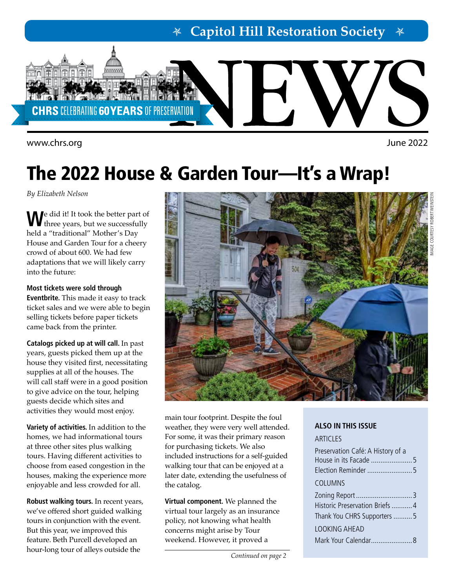**Capitol Hill Restoration Society**



<www.chrs.org> June 2022

# The 2022 House & Garden Tour—It's a Wrap!

*By Elizabeth Nelson*

**W**e did it! It took the better part of three years, but we successfully held a "traditional" Mother's Day House and Garden Tour for a cheery crowd of about 600. We had few adaptations that we will likely carry into the future:

**Most tickets were sold through Eventbrite.** This made it easy to track ticket sales and we were able to begin selling tickets before paper tickets came back from the printer.

**Catalogs picked up at will call.** In past years, guests picked them up at the house they visited first, necessitating supplies at all of the houses. The will call staff were in a good position to give advice on the tour, helping guests decide which sites and activities they would most enjoy.

**Variety of activities.** In addition to the homes, we had informational tours at three other sites plus walking tours. Having different activities to choose from eased congestion in the houses, making the experience more enjoyable and less crowded for all.

**Robust walking tours.** In recent years, we've offered short guided walking tours in conjunction with the event. But this year, we improved this feature. Beth Purcell developed an hour-long tour of alleys outside the



main tour footprint. Despite the foul weather, they were very well attended. For some, it was their primary reason for purchasing tickets. We also included instructions for a self-guided walking tour that can be enjoyed at a later date, extending the usefulness of the catalog.

**Virtual component.** We planned the virtual tour largely as an insurance policy, not knowing what health concerns might arise by Tour weekend. However, it proved a

### **ALSO IN THIS ISSUE**

### **ARTICLES**

| Preservation Café: A History of a |
|-----------------------------------|
|                                   |
| COLUMNS                           |
|                                   |
| Historic Preservation Briefs  4   |
| Thank You CHRS Supporters 5       |
| LOOKING AHFAD                     |
|                                   |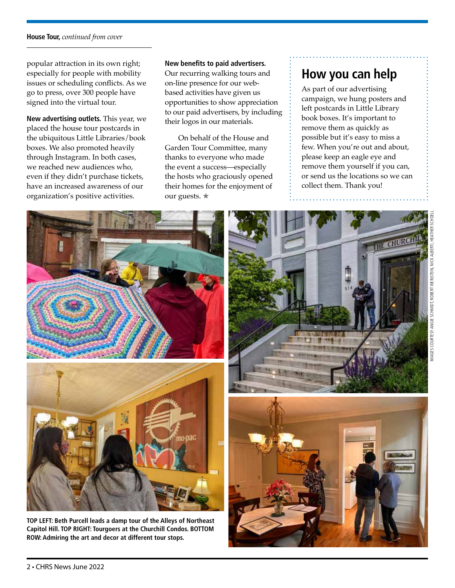### **House Tour,** *continued from cover*

popular attraction in its own right; especially for people with mobility issues or scheduling conflicts. As we go to press, over 300 people have signed into the virtual tour.

**New advertising outlets.** This year, we placed the house tour postcards in the ubiquitous Little Libraries/book boxes. We also promoted heavily through Instagram. In both cases, we reached new audiences who, even if they didn't purchase tickets, have an increased awareness of our organization's positive activities.

**New benefits to paid advertisers.**

Our recurring walking tours and on-line presence for our webbased activities have given us opportunities to show appreciation to our paid advertisers, by including their logos in our materials.

On behalf of the House and Garden Tour Committee, many thanks to everyone who made the event a success—especially the hosts who graciously opened their homes for the enjoyment of our guests. <sup>★</sup>

## **How you can help**

As part of our advertising campaign, we hung posters and left postcards in Little Library book boxes. It's important to remove them as quickly as possible but it's easy to miss a few. When you're out and about, please keep an eagle eye and remove them yourself if you can, or send us the locations so we can collect them. Thank you!



**ROW: Admiring the art and decor at different tour stops.**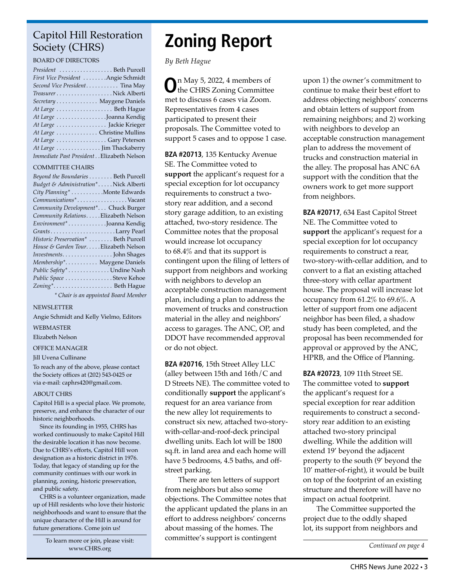### Capitol Hill Restoration Society (CHRS)

### BOARD OF DIRECTORS

| President  Beth Purcell                   |  |
|-------------------------------------------|--|
| First Vice President Angie Schmidt        |  |
| Second Vice President Tina May            |  |
|                                           |  |
| Secretary Maygene Daniels                 |  |
|                                           |  |
| At Large Joanna Kendig                    |  |
| At Large  Jackie Krieger                  |  |
| At Large  Christine Mullins               |  |
| At Large Gary Peterson                    |  |
| At Large  Jim Thackaberry                 |  |
| Immediate Past President Elizabeth Nelson |  |

### COMMITTEE CHAIRS

| Beyond the Boundaries Beth Purcell    |
|---------------------------------------|
| Budget & Administration*Nick Alberti  |
| City Planning* Monte Edwards          |
| Communications*Vacant                 |
| Community Development* Chuck Burger   |
| Community Relations. Elizabeth Nelson |
| Environment* Joanna Kendig            |
|                                       |
| Historic Preservation*  Beth Purcell  |
| House & Garden TourElizabeth Nelson   |
|                                       |
| Membership* Maygene Daniels           |
| Public Safety* Undine Nash            |
| Public Space Steve Kehoe              |
| Zoning* Beth Hague                    |
| * Chair is an appointed Board Member  |

#### NEWSLETTER

Angie Schmidt and Kelly Vielmo, Editors

### WEBMASTER

Elizabeth Nelson

### OFFICE MANAGER

#### Jill Uvena Cullinane

To reach any of the above, please contact the Society offices at (202) 543-0425 or via e-mail: caphrs420@gmail.com.

#### ABOUT CHRS

Capitol Hill is a special place. We promote, preserve, and enhance the character of our historic neighborhoods.

Since its founding in 1955, CHRS has worked continuously to make Capitol Hill the desirable location it has now become. Due to CHRS's efforts, Capitol Hill won designation as a historic district in 1976. Today, that legacy of standing up for the community continues with our work in planning, zoning, historic preservation, and public safety.

CHRS is a volunteer organization, made up of Hill residents who love their historic neighborhoods and want to ensure that the unique character of the Hill is around for future generations. Come join us!

> To learn more or join, please visit: [www.CHRS.org](http://chrs.org/)

## **Zoning Report**

*By Beth Hague*

**O**n May 5, 2022, 4 members of the CHRS Zoning Committee met to discuss 6 cases via Zoom. Representatives from 4 cases participated to present their proposals. The Committee voted to support 5 cases and to oppose 1 case.

**BZA #20713**, 135 Kentucky Avenue SE. The Committee voted to **support** the applicant's request for a special exception for lot occupancy requirements to construct a twostory rear addition, and a second story garage addition, to an existing attached, two-story residence. The Committee notes that the proposal would increase lot occupancy to 68.4% and that its support is contingent upon the filing of letters of support from neighbors and working with neighbors to develop an acceptable construction management plan, including a plan to address the movement of trucks and construction material in the alley and neighbors' access to garages. The ANC, OP, and DDOT have recommended approval or do not object.

**BZA #20716**, 15th Street Alley LLC (alley between 15th and 16th/C and D Streets NE). The committee voted to conditionally **support** the applicant's request for an area variance from the new alley lot requirements to construct six new, attached two-storywith-cellar-and-roof-deck principal dwelling units. Each lot will be 1800 sq.ft. in land area and each home will have 5 bedrooms, 4.5 baths, and offstreet parking.

There are ten letters of support from neighbors but also some objections. The Committee notes that the applicant updated the plans in an effort to address neighbors' concerns about massing of the homes. The committee's support is contingent

upon 1) the owner's commitment to continue to make their best effort to address objecting neighbors' concerns and obtain letters of support from remaining neighbors; and 2) working with neighbors to develop an acceptable construction management plan to address the movement of trucks and construction material in the alley. The proposal has ANC 6A support with the condition that the owners work to get more support from neighbors.

**BZA #20717**, 634 East Capitol Street NE. The Committee voted to **support** the applicant's request for a special exception for lot occupancy requirements to construct a rear, two-story-with-cellar addition, and to convert to a flat an existing attached three-story with cellar apartment house. The proposal will increase lot occupancy from 61.2% to 69.6%. A letter of support from one adjacent neighbor has been filed, a shadow study has been completed, and the proposal has been recommended for approval or approved by the ANC, HPRB, and the Office of Planning.

**BZA #20723**, 109 11th Street SE. The committee voted to **support** the applicant's request for a special exception for rear addition requirements to construct a secondstory rear addition to an existing attached two-story principal dwelling. While the addition will extend 19' beyond the adjacent property to the south (9' beyond the 10' matter-of-right), it would be built on top of the footprint of an existing structure and therefore will have no impact on actual footprint.

The Committee supported the project due to the oddly shaped lot, its support from neighbors and

*Continued on page 4*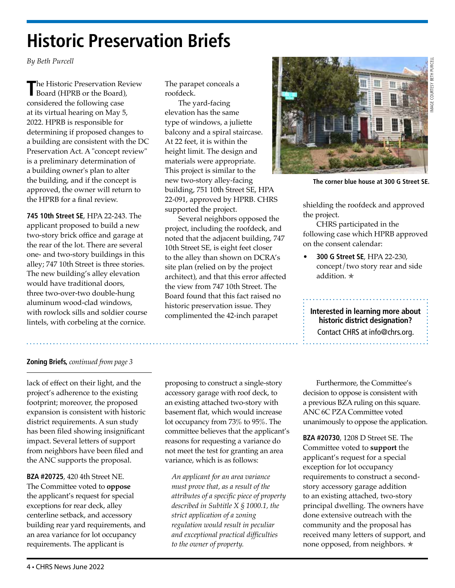## **Historic Preservation Briefs**

*By Beth Purcell* 

**T**he Historic Preservation Review Board (HPRB or the Board), considered the following case at its virtual hearing on May 5, 2022. HPRB is responsible for determining if proposed changes to a building are consistent with the DC Preservation Act. A "concept review" is a preliminary determination of a building owner's plan to alter the building, and if the concept is approved, the owner will return to the HPRB for a final review.

**745 10th Street SE**, HPA 22-243. The applicant proposed to build a new two-story brick office and garage at the rear of the lot. There are several one- and two-story buildings in this alley; 747 10th Street is three stories. The new building's alley elevation would have traditional doors, three two-over-two double-hung aluminum wood-clad windows, with rowlock sills and soldier course lintels, with corbeling at the cornice.

The parapet conceals a roofdeck.

The yard-facing elevation has the same type of windows, a juliette balcony and a spiral staircase. At 22 feet, it is within the height limit. The design and materials were appropriate. This project is similar to the new two-story alley-facing building, 751 10th Street SE, HPA 22-091, approved by HPRB. CHRS supported the project.

Several neighbors opposed the project, including the roofdeck, and noted that the adjacent building, 747 10th Street SE, is eight feet closer to the alley than shown on DCRA's site plan (relied on by the project architect), and that this error affected the view from 747 10th Street. The Board found that this fact raised no historic preservation issue. They complimented the 42-inch parapet



**The corner blue house at 300 G Street SE.** 

shielding the roofdeck and approved the project.

CHRS participated in the following case which HPRB approved on the consent calendar:

• **300 G Street SE**, HPA 22-230, concept/two story rear and side addition. **★** 

**Interested in learning more about historic district designation?** Contact CHRS at [info@chrs.org.](mailto:info%40chrs.org?subject=)

### **Zoning Briefs,** *continued from page 3*

lack of effect on their light, and the project's adherence to the existing footprint; moreover, the proposed expansion is consistent with historic district requirements. A sun study has been filed showing insignificant impact. Several letters of support from neighbors have been filed and the ANC supports the proposal.

**BZA #20725**, 420 4th Street NE. The Committee voted to **oppose** the applicant's request for special exceptions for rear deck, alley centerline setback, and accessory building rear yard requirements, and an area variance for lot occupancy requirements. The applicant is

proposing to construct a single-story accessory garage with roof deck, to an existing attached two-story with basement flat, which would increase lot occupancy from 73% to 95%. The committee believes that the applicant's reasons for requesting a variance do not meet the test for granting an area variance, which is as follows:

*An applicant for an area variance must prove that, as a result of the attributes of a specific piece of property described in Subtitle X § 1000.1, the strict application of a zoning regulation would result in peculiar and exceptional practical difficulties to the owner of property.*

Furthermore, the Committee's decision to oppose is consistent with a previous BZA ruling on this square. ANC 6C PZA Committee voted unanimously to oppose the application.

**BZA #20730**, 1208 D Street SE. The Committee voted to **support** the applicant's request for a special exception for lot occupancy requirements to construct a secondstory accessory garage addition to an existing attached, two-story principal dwelling. The owners have done extensive outreach with the community and the proposal has received many letters of support, and none opposed, from neighbors. ∗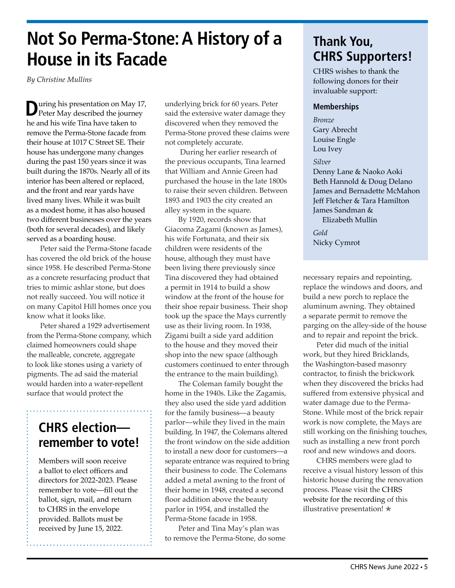## **Not So Perma-Stone: A History of a House in its Facade**

*By Christine Mullins*

**D**uring his presentation on May 17, Peter May described the journey he and his wife Tina have taken to remove the Perma-Stone facade from their house at 1017 C Street SE. Their house has undergone many changes during the past 150 years since it was built during the 1870s. Nearly all of its interior has been altered or replaced, and the front and rear yards have lived many lives. While it was built as a modest home, it has also housed two different businesses over the years (both for several decades), and likely served as a boarding house.

Peter said the Perma-Stone facade has covered the old brick of the house since 1958. He described Perma-Stone as a concrete resurfacing product that tries to mimic ashlar stone, but does not really succeed. You will notice it on many Capitol Hill homes once you know what it looks like.

Peter shared a 1929 advertisement from the Perma-Stone company, which claimed homeowners could shape the malleable, concrete, aggregate to look like stones using a variety of pigments. The ad said the material would harden into a water-repellent surface that would protect the

### **CHRS election remember to vote!**

Members will soon receive a ballot to elect officers and directors for 2022-2023. Please remember to vote—fill out the ballot, sign, mail, and return to CHRS in the envelope provided. Ballots must be received by June 15, 2022.

underlying brick for 60 years. Peter said the extensive water damage they discovered when they removed the Perma-Stone proved these claims were not completely accurate.

 During her earlier research of the previous occupants, Tina learned that William and Annie Green had purchased the house in the late 1800s to raise their seven children. Between 1893 and 1903 the city created an alley system in the square.

By 1920, records show that Giacoma Zagami (known as James), his wife Fortunata, and their six children were residents of the house, although they must have been living there previously since Tina discovered they had obtained a permit in 1914 to build a show window at the front of the house for their shoe repair business. Their shop took up the space the Mays currently use as their living room. In 1938, Zigami built a side yard addition to the house and they moved their shop into the new space (although customers continued to enter through the entrance to the main building).

The Coleman family bought the home in the 1940s. Like the Zagamis, they also used the side yard addition for the family business—a beauty parlor—while they lived in the main building. In 1947, the Colemans altered the front window on the side addition to install a new door for customers—a separate entrance was required to bring their business to code. The Colemans added a metal awning to the front of their home in 1948, created a second floor addition above the beauty parlor in 1954, and installed the Perma-Stone facade in 1958.

Peter and Tina May's plan was to remove the Perma-Stone, do some

### **Thank You, CHRS Supporters!**

CHRS wishes to thank the following donors for their invaluable support:

### **Memberships**

### *Bronze*

Gary Abrecht Louise Engle Lou Ivey

### *Silver*

Denny Lane & Naoko Aoki Beth Hannold & Doug Delano James and Bernadette McMahon Jeff Fletcher & Tara Hamilton James Sandman & Elizabeth Mullin

*Gold* Nicky Cymrot

necessary repairs and repointing, replace the windows and doors, and build a new porch to replace the aluminum awning. They obtained a separate permit to remove the parging on the alley-side of the house and to repair and repoint the brick.

Peter did much of the initial work, but they hired Bricklands, the Washington-based masonry contractor, to finish the brickwork when they discovered the bricks had suffered from extensive physical and water damage due to the Perma-Stone. While most of the brick repair work is now complete, the Mays are still working on the finishing touches, such as installing a new front porch roof and new windows and doors.

CHRS members were glad to receive a visual history lesson of this historic house during the renovation process. Please visit the [CHRS](https://chrs.org/removing-permastone-pc/)  [website for the recording](https://chrs.org/removing-permastone-pc/) of this illustrative presentation! ✯